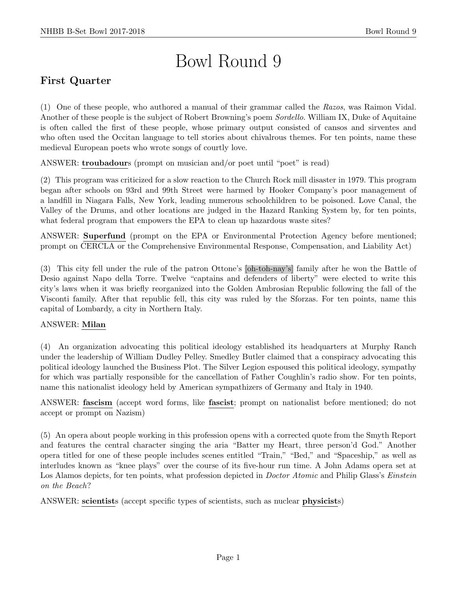# Bowl Round 9

# First Quarter

(1) One of these people, who authored a manual of their grammar called the Razos, was Raimon Vidal. Another of these people is the subject of Robert Browning's poem Sordello. William IX, Duke of Aquitaine is often called the first of these people, whose primary output consisted of cansos and sirventes and who often used the Occitan language to tell stories about chivalrous themes. For ten points, name these medieval European poets who wrote songs of courtly love.

ANSWER: troubadours (prompt on musician and/or poet until "poet" is read)

(2) This program was criticized for a slow reaction to the Church Rock mill disaster in 1979. This program began after schools on 93rd and 99th Street were harmed by Hooker Company's poor management of a landfill in Niagara Falls, New York, leading numerous schoolchildren to be poisoned. Love Canal, the Valley of the Drums, and other locations are judged in the Hazard Ranking System by, for ten points, what federal program that empowers the EPA to clean up hazardous waste sites?

ANSWER: Superfund (prompt on the EPA or Environmental Protection Agency before mentioned; prompt on CERCLA or the Comprehensive Environmental Response, Compensation, and Liability Act)

(3) This city fell under the rule of the patron Ottone's [oh-toh-nay's] family after he won the Battle of Desio against Napo della Torre. Twelve "captains and defenders of liberty" were elected to write this city's laws when it was briefly reorganized into the Golden Ambrosian Republic following the fall of the Visconti family. After that republic fell, this city was ruled by the Sforzas. For ten points, name this capital of Lombardy, a city in Northern Italy.

#### ANSWER: Milan

(4) An organization advocating this political ideology established its headquarters at Murphy Ranch under the leadership of William Dudley Pelley. Smedley Butler claimed that a conspiracy advocating this political ideology launched the Business Plot. The Silver Legion espoused this political ideology, sympathy for which was partially responsible for the cancellation of Father Coughlin's radio show. For ten points, name this nationalist ideology held by American sympathizers of Germany and Italy in 1940.

ANSWER: fascism (accept word forms, like fascist; prompt on nationalist before mentioned; do not accept or prompt on Nazism)

(5) An opera about people working in this profession opens with a corrected quote from the Smyth Report and features the central character singing the aria "Batter my Heart, three person'd God." Another opera titled for one of these people includes scenes entitled "Train," "Bed," and "Spaceship," as well as interludes known as "knee plays" over the course of its five-hour run time. A John Adams opera set at Los Alamos depicts, for ten points, what profession depicted in *Doctor Atomic* and Philip Glass's *Einstein* on the Beach?

ANSWER: scientists (accept specific types of scientists, such as nuclear physicists)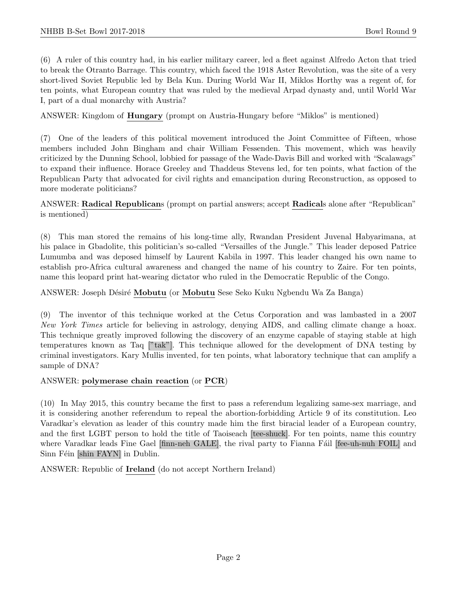(6) A ruler of this country had, in his earlier military career, led a fleet against Alfredo Acton that tried to break the Otranto Barrage. This country, which faced the 1918 Aster Revolution, was the site of a very short-lived Soviet Republic led by Bela Kun. During World War II, Miklos Horthy was a regent of, for ten points, what European country that was ruled by the medieval Arpad dynasty and, until World War I, part of a dual monarchy with Austria?

ANSWER: Kingdom of Hungary (prompt on Austria-Hungary before "Miklos" is mentioned)

(7) One of the leaders of this political movement introduced the Joint Committee of Fifteen, whose members included John Bingham and chair William Fessenden. This movement, which was heavily criticized by the Dunning School, lobbied for passage of the Wade-Davis Bill and worked with "Scalawags" to expand their influence. Horace Greeley and Thaddeus Stevens led, for ten points, what faction of the Republican Party that advocated for civil rights and emancipation during Reconstruction, as opposed to more moderate politicians?

ANSWER: Radical Republicans (prompt on partial answers; accept Radicals alone after "Republican" is mentioned)

(8) This man stored the remains of his long-time ally, Rwandan President Juvenal Habyarimana, at his palace in Gbadolite, this politician's so-called "Versailles of the Jungle." This leader deposed Patrice Lumumba and was deposed himself by Laurent Kabila in 1997. This leader changed his own name to establish pro-Africa cultural awareness and changed the name of his country to Zaire. For ten points, name this leopard print hat-wearing dictator who ruled in the Democratic Republic of the Congo.

ANSWER: Joseph Désiré Mobutu (or Mobutu Sese Seko Kuku Ngbendu Wa Za Banga)

(9) The inventor of this technique worked at the Cetus Corporation and was lambasted in a 2007 New York Times article for believing in astrology, denying AIDS, and calling climate change a hoax. This technique greatly improved following the discovery of an enzyme capable of staying stable at high temperatures known as Taq ["tak"]. This technique allowed for the development of DNA testing by criminal investigators. Kary Mullis invented, for ten points, what laboratory technique that can amplify a sample of DNA?

#### ANSWER: polymerase chain reaction (or PCR)

(10) In May 2015, this country became the first to pass a referendum legalizing same-sex marriage, and it is considering another referendum to repeal the abortion-forbidding Article 9 of its constitution. Leo Varadkar's elevation as leader of this country made him the first biracial leader of a European country, and the first LGBT person to hold the title of Taoiseach [tee-shuck]. For ten points, name this country where Varadkar leads Fine Gael [finn-neh GALE], the rival party to Fianna Fáil [fee-uh-nuh FOIL] and Sinn Féin [shin FAYN] in Dublin.

ANSWER: Republic of Ireland (do not accept Northern Ireland)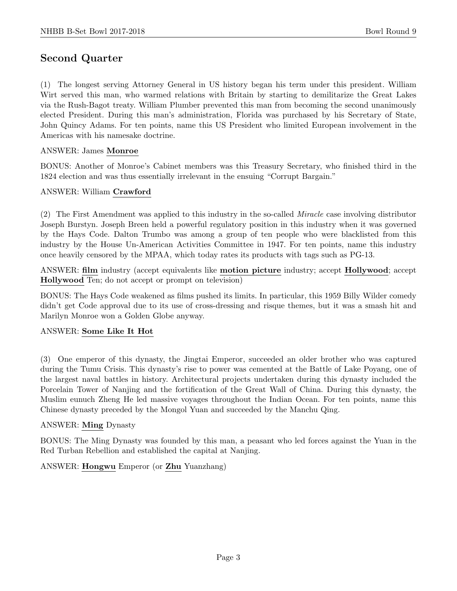# Second Quarter

(1) The longest serving Attorney General in US history began his term under this president. William Wirt served this man, who warmed relations with Britain by starting to demilitarize the Great Lakes via the Rush-Bagot treaty. William Plumber prevented this man from becoming the second unanimously elected President. During this man's administration, Florida was purchased by his Secretary of State, John Quincy Adams. For ten points, name this US President who limited European involvement in the Americas with his namesake doctrine.

## ANSWER: James Monroe

BONUS: Another of Monroe's Cabinet members was this Treasury Secretary, who finished third in the 1824 election and was thus essentially irrelevant in the ensuing "Corrupt Bargain."

#### ANSWER: William Crawford

(2) The First Amendment was applied to this industry in the so-called Miracle case involving distributor Joseph Burstyn. Joseph Breen held a powerful regulatory position in this industry when it was governed by the Hays Code. Dalton Trumbo was among a group of ten people who were blacklisted from this industry by the House Un-American Activities Committee in 1947. For ten points, name this industry once heavily censored by the MPAA, which today rates its products with tags such as PG-13.

ANSWER: film industry (accept equivalents like motion picture industry; accept Hollywood; accept Hollywood Ten; do not accept or prompt on television)

BONUS: The Hays Code weakened as films pushed its limits. In particular, this 1959 Billy Wilder comedy didn't get Code approval due to its use of cross-dressing and risque themes, but it was a smash hit and Marilyn Monroe won a Golden Globe anyway.

#### ANSWER: Some Like It Hot

(3) One emperor of this dynasty, the Jingtai Emperor, succeeded an older brother who was captured during the Tumu Crisis. This dynasty's rise to power was cemented at the Battle of Lake Poyang, one of the largest naval battles in history. Architectural projects undertaken during this dynasty included the Porcelain Tower of Nanjing and the fortification of the Great Wall of China. During this dynasty, the Muslim eunuch Zheng He led massive voyages throughout the Indian Ocean. For ten points, name this Chinese dynasty preceded by the Mongol Yuan and succeeded by the Manchu Qing.

#### ANSWER: Ming Dynasty

BONUS: The Ming Dynasty was founded by this man, a peasant who led forces against the Yuan in the Red Turban Rebellion and established the capital at Nanjing.

#### ANSWER: Hongwu Emperor (or Zhu Yuanzhang)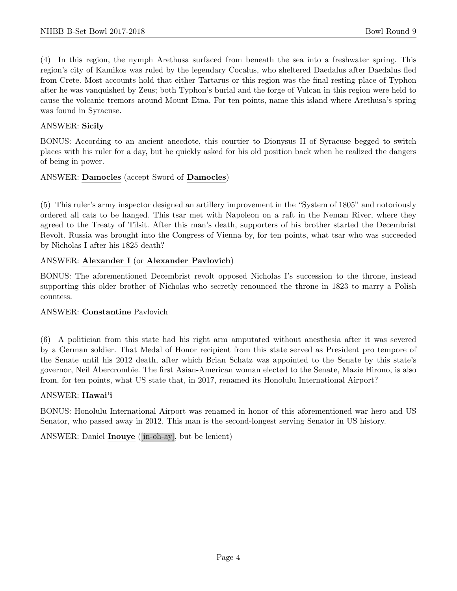(4) In this region, the nymph Arethusa surfaced from beneath the sea into a freshwater spring. This region's city of Kamikos was ruled by the legendary Cocalus, who sheltered Daedalus after Daedalus fled from Crete. Most accounts hold that either Tartarus or this region was the final resting place of Typhon after he was vanquished by Zeus; both Typhon's burial and the forge of Vulcan in this region were held to cause the volcanic tremors around Mount Etna. For ten points, name this island where Arethusa's spring was found in Syracuse.

## ANSWER: Sicily

BONUS: According to an ancient anecdote, this courtier to Dionysus II of Syracuse begged to switch places with his ruler for a day, but he quickly asked for his old position back when he realized the dangers of being in power.

#### ANSWER: Damocles (accept Sword of Damocles)

(5) This ruler's army inspector designed an artillery improvement in the "System of 1805" and notoriously ordered all cats to be hanged. This tsar met with Napoleon on a raft in the Neman River, where they agreed to the Treaty of Tilsit. After this man's death, supporters of his brother started the Decembrist Revolt. Russia was brought into the Congress of Vienna by, for ten points, what tsar who was succeeded by Nicholas I after his 1825 death?

# ANSWER: Alexander I (or Alexander Pavlovich)

BONUS: The aforementioned Decembrist revolt opposed Nicholas I's succession to the throne, instead supporting this older brother of Nicholas who secretly renounced the throne in 1823 to marry a Polish countess.

#### ANSWER: Constantine Pavlovich

(6) A politician from this state had his right arm amputated without anesthesia after it was severed by a German soldier. That Medal of Honor recipient from this state served as President pro tempore of the Senate until his 2012 death, after which Brian Schatz was appointed to the Senate by this state's governor, Neil Abercrombie. The first Asian-American woman elected to the Senate, Mazie Hirono, is also from, for ten points, what US state that, in 2017, renamed its Honolulu International Airport?

#### ANSWER: Hawai'i

BONUS: Honolulu International Airport was renamed in honor of this aforementioned war hero and US Senator, who passed away in 2012. This man is the second-longest serving Senator in US history.

ANSWER: Daniel Inouye ([in-oh-ay], but be lenient)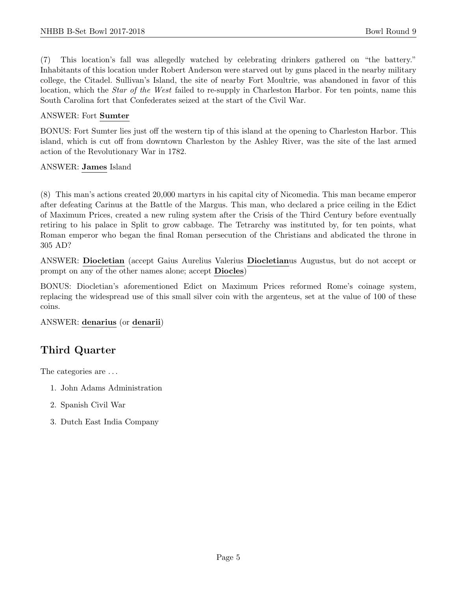(7) This location's fall was allegedly watched by celebrating drinkers gathered on "the battery." Inhabitants of this location under Robert Anderson were starved out by guns placed in the nearby military college, the Citadel. Sullivan's Island, the site of nearby Fort Moultrie, was abandoned in favor of this location, which the *Star of the West* failed to re-supply in Charleston Harbor. For ten points, name this South Carolina fort that Confederates seized at the start of the Civil War.

#### ANSWER: Fort Sumter

BONUS: Fort Sumter lies just off the western tip of this island at the opening to Charleston Harbor. This island, which is cut off from downtown Charleston by the Ashley River, was the site of the last armed action of the Revolutionary War in 1782.

#### ANSWER: James Island

(8) This man's actions created 20,000 martyrs in his capital city of Nicomedia. This man became emperor after defeating Carinus at the Battle of the Margus. This man, who declared a price ceiling in the Edict of Maximum Prices, created a new ruling system after the Crisis of the Third Century before eventually retiring to his palace in Split to grow cabbage. The Tetrarchy was instituted by, for ten points, what Roman emperor who began the final Roman persecution of the Christians and abdicated the throne in 305 AD?

ANSWER: Diocletian (accept Gaius Aurelius Valerius Diocletianus Augustus, but do not accept or prompt on any of the other names alone; accept Diocles)

BONUS: Diocletian's aforementioned Edict on Maximum Prices reformed Rome's coinage system, replacing the widespread use of this small silver coin with the argenteus, set at the value of 100 of these coins.

ANSWER: denarius (or denarii)

# Third Quarter

The categories are  $\dots$ 

- 1. John Adams Administration
- 2. Spanish Civil War
- 3. Dutch East India Company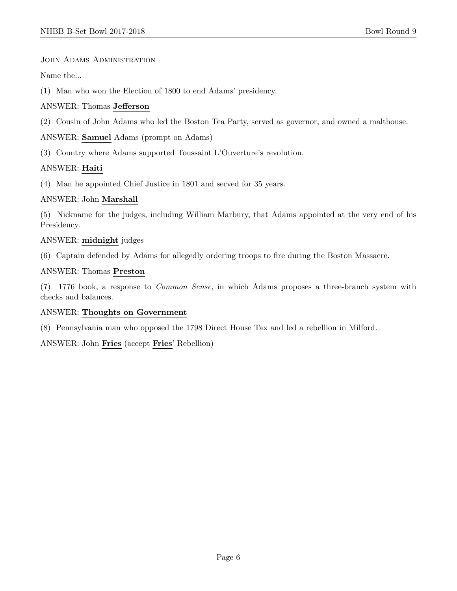JOHN ADAMS ADMINISTRATION

Name the...

(1) Man who won the Election of 1800 to end Adams' presidency.

# ANSWER: Thomas Jefferson

(2) Cousin of John Adams who led the Boston Tea Party, served as governor, and owned a malthouse.

ANSWER: Samuel Adams (prompt on Adams)

(3) Country where Adams supported Toussaint L'Ouverture's revolution.

# ANSWER: Haiti

(4) Man he appointed Chief Justice in 1801 and served for 35 years.

# ANSWER: John Marshall

(5) Nickname for the judges, including William Marbury, that Adams appointed at the very end of his Presidency.

# ANSWER: midnight judges

(6) Captain defended by Adams for allegedly ordering troops to fire during the Boston Massacre.

# ANSWER: Thomas Preston

(7) 1776 book, a response to Common Sense, in which Adams proposes a three-branch system with checks and balances.

#### ANSWER: Thoughts on Government

(8) Pennsylvania man who opposed the 1798 Direct House Tax and led a rebellion in Milford.

ANSWER: John Fries (accept Fries' Rebellion)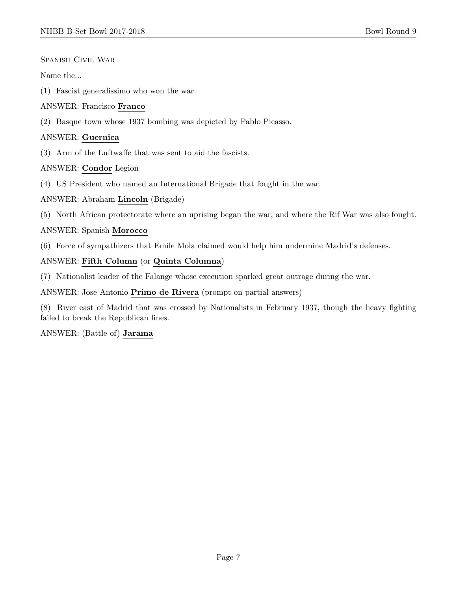Spanish Civil War

Name the...

(1) Fascist generalissimo who won the war.

#### ANSWER: Francisco Franco

(2) Basque town whose 1937 bombing was depicted by Pablo Picasso.

## ANSWER: Guernica

(3) Arm of the Luftwaffe that was sent to aid the fascists.

#### ANSWER: Condor Legion

(4) US President who named an International Brigade that fought in the war.

#### ANSWER: Abraham Lincoln (Brigade)

(5) North African protectorate where an uprising began the war, and where the Rif War was also fought.

#### ANSWER: Spanish Morocco

(6) Force of sympathizers that Emile Mola claimed would help him undermine Madrid's defenses.

# ANSWER: Fifth Column (or Quinta Columna)

(7) Nationalist leader of the Falange whose execution sparked great outrage during the war.

ANSWER: Jose Antonio Primo de Rivera (prompt on partial answers)

(8) River east of Madrid that was crossed by Nationalists in February 1937, though the heavy fighting failed to break the Republican lines.

ANSWER: (Battle of) Jarama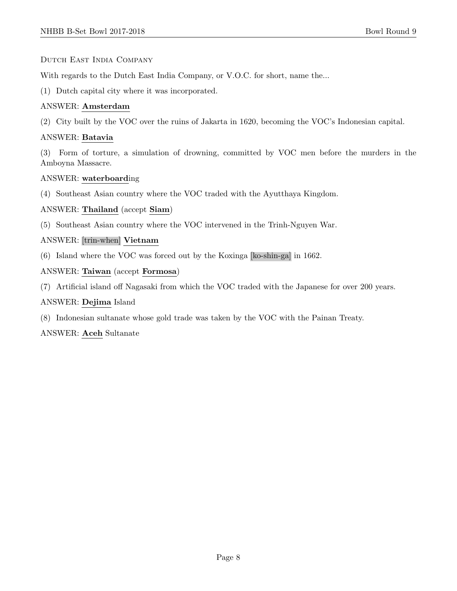#### Dutch East India Company

With regards to the Dutch East India Company, or V.O.C. for short, name the...

(1) Dutch capital city where it was incorporated.

## ANSWER: Amsterdam

(2) City built by the VOC over the ruins of Jakarta in 1620, becoming the VOC's Indonesian capital.

#### ANSWER: Batavia

(3) Form of torture, a simulation of drowning, committed by VOC men before the murders in the Amboyna Massacre.

#### ANSWER: waterboarding

(4) Southeast Asian country where the VOC traded with the Ayutthaya Kingdom.

#### ANSWER: Thailand (accept Siam)

(5) Southeast Asian country where the VOC intervened in the Trinh-Nguyen War.

#### ANSWER: [trin-when] Vietnam

(6) Island where the VOC was forced out by the Koxinga [ko-shin-ga] in 1662.

#### ANSWER: Taiwan (accept Formosa)

(7) Artificial island off Nagasaki from which the VOC traded with the Japanese for over 200 years.

#### ANSWER: Dejima Island

(8) Indonesian sultanate whose gold trade was taken by the VOC with the Painan Treaty.

ANSWER: Aceh Sultanate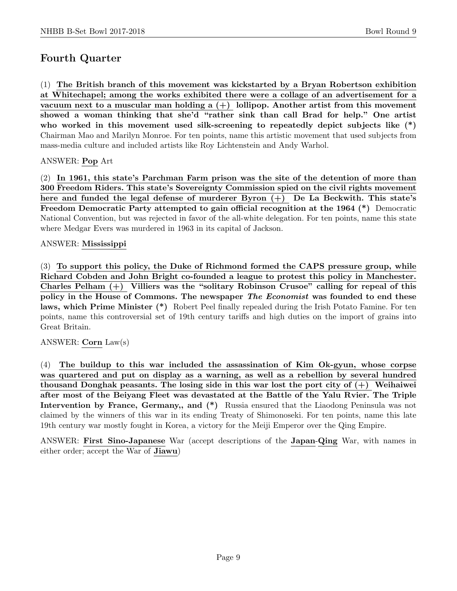# Fourth Quarter

(1) The British branch of this movement was kickstarted by a Bryan Robertson exhibition at Whitechapel; among the works exhibited there were a collage of an advertisement for a vacuum next to a muscular man holding a  $(+)$  lollipop. Another artist from this movement showed a woman thinking that she'd "rather sink than call Brad for help." One artist who worked in this movement used silk-screening to repeatedly depict subjects like  $(*)$ Chairman Mao and Marilyn Monroe. For ten points, name this artistic movement that used subjects from mass-media culture and included artists like Roy Lichtenstein and Andy Warhol.

# ANSWER: Pop Art

(2) In 1961, this state's Parchman Farm prison was the site of the detention of more than 300 Freedom Riders. This state's Sovereignty Commission spied on the civil rights movement here and funded the legal defense of murderer Byron  $(+)$  De La Beckwith. This state's Freedom Democratic Party attempted to gain official recognition at the 1964 (\*) Democratic National Convention, but was rejected in favor of the all-white delegation. For ten points, name this state where Medgar Evers was murdered in 1963 in its capital of Jackson.

# ANSWER: Mississippi

(3) To support this policy, the Duke of Richmond formed the CAPS pressure group, while Richard Cobden and John Bright co-founded a league to protest this policy in Manchester. Charles Pelham (+) Villiers was the "solitary Robinson Crusoe" calling for repeal of this policy in the House of Commons. The newspaper *The Economist* was founded to end these laws, which Prime Minister (\*) Robert Peel finally repealed during the Irish Potato Famine. For ten points, name this controversial set of 19th century tariffs and high duties on the import of grains into Great Britain.

ANSWER: Corn Law(s)

(4) The buildup to this war included the assassination of Kim Ok-gyun, whose corpse was quartered and put on display as a warning, as well as a rebellion by several hundred thousand Donghak peasants. The losing side in this war lost the port city of  $(+)$  Weihaiwei after most of the Beiyang Fleet was devastated at the Battle of the Yalu Rvier. The Triple Intervention by France, Germany,, and  $(*)$  Russia ensured that the Liaodong Peninsula was not claimed by the winners of this war in its ending Treaty of Shimonoseki. For ten points, name this late 19th century war mostly fought in Korea, a victory for the Meiji Emperor over the Qing Empire.

ANSWER: First Sino-Japanese War (accept descriptions of the Japan-Qing War, with names in either order; accept the War of Jiawu)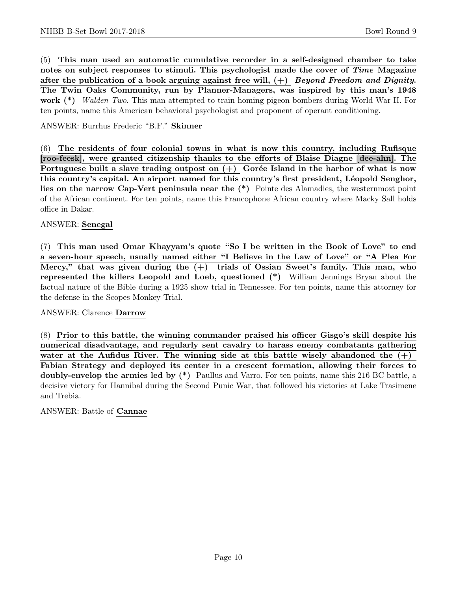(5) This man used an automatic cumulative recorder in a self-designed chamber to take notes on subject responses to stimuli. This psychologist made the cover of Time Magazine after the publication of a book arguing against free will,  $(+)$  Beyond Freedom and Dignity. The Twin Oaks Community, run by Planner-Managers, was inspired by this man's 1948 work (\*) Walden Two. This man attempted to train homing pigeon bombers during World War II. For ten points, name this American behavioral psychologist and proponent of operant conditioning.

ANSWER: Burrhus Frederic "B.F." Skinner

(6) The residents of four colonial towns in what is now this country, including Rufisque [roo-feesk], were granted citizenship thanks to the efforts of Blaise Diagne [dee-ahn]. The Portuguese built a slave trading outpost on  $(+)$  Gorée Island in the harbor of what is now this country's capital. An airport named for this country's first president, Léopold Senghor, lies on the narrow Cap-Vert peninsula near the (\*) Pointe des Alamadies, the westernmost point of the African continent. For ten points, name this Francophone African country where Macky Sall holds office in Dakar.

#### ANSWER: Senegal

(7) This man used Omar Khayyam's quote "So I be written in the Book of Love" to end a seven-hour speech, usually named either "I Believe in the Law of Love" or "A Plea For Mercy," that was given during the  $(+)$  trials of Ossian Sweet's family. This man, who represented the killers Leopold and Loeb, questioned (\*) William Jennings Bryan about the factual nature of the Bible during a 1925 show trial in Tennessee. For ten points, name this attorney for the defense in the Scopes Monkey Trial.

#### ANSWER: Clarence Darrow

(8) Prior to this battle, the winning commander praised his officer Gisgo's skill despite his numerical disadvantage, and regularly sent cavalry to harass enemy combatants gathering water at the Aufidus River. The winning side at this battle wisely abandoned the  $(+)$ Fabian Strategy and deployed its center in a crescent formation, allowing their forces to doubly-envelop the armies led by (\*) Paullus and Varro. For ten points, name this 216 BC battle, a decisive victory for Hannibal during the Second Punic War, that followed his victories at Lake Trasimene and Trebia.

#### ANSWER: Battle of Cannae